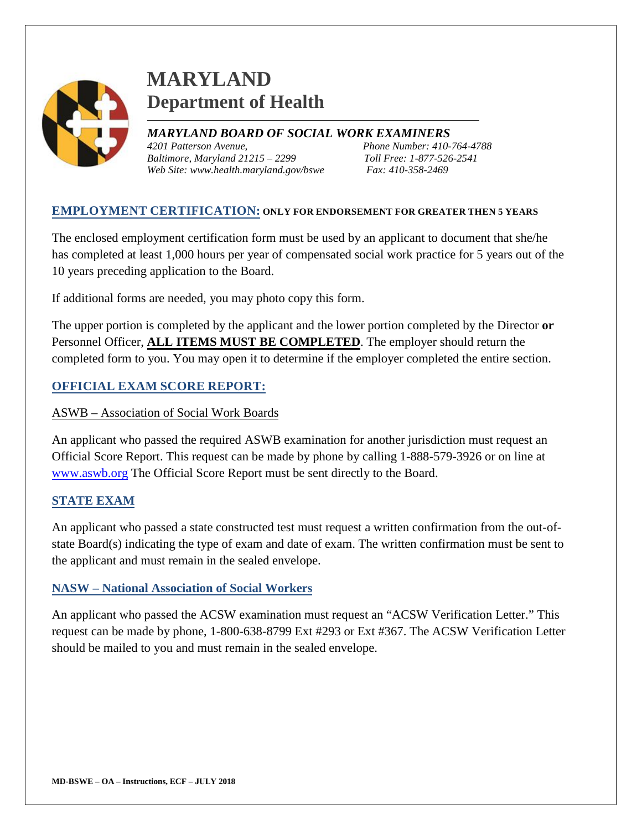

# **MARYLAND Department of Health**

*MARYLAND BOARD OF SOCIAL WORK EXAMINERS 4201 Patterson Avenue, Phone Number: 410-764-4788 Baltimore, Maryland 21215 – 2299 Toll Free: 1-877-526-2541 Web Site: www.health.maryland.gov/bswe Fax: 410-358-2469*

### **EMPLOYMENT CERTIFICATION: ONLY FOR ENDORSEMENT FOR GREATER THEN 5 YEARS**

The enclosed employment certification form must be used by an applicant to document that she/he has completed at least 1,000 hours per year of compensated social work practice for 5 years out of the 10 years preceding application to the Board.

If additional forms are needed, you may photo copy this form.

The upper portion is completed by the applicant and the lower portion completed by the Director **or** Personnel Officer, **ALL ITEMS MUST BE COMPLETED**. The employer should return the completed form to you. You may open it to determine if the employer completed the entire section.

### **OFFICIAL EXAM SCORE REPORT:**

#### ASWB – Association of Social Work Boards

An applicant who passed the required ASWB examination for another jurisdiction must request an Official Score Report. This request can be made by phone by calling 1-888-579-3926 or on line at [www.aswb.org](http://www.aswb.org/) The Official Score Report must be sent directly to the Board.

#### **STATE EXAM**

An applicant who passed a state constructed test must request a written confirmation from the out-ofstate Board(s) indicating the type of exam and date of exam. The written confirmation must be sent to the applicant and must remain in the sealed envelope.

#### **NASW – National Association of Social Workers**

An applicant who passed the ACSW examination must request an "ACSW Verification Letter." This request can be made by phone, 1-800-638-8799 Ext #293 or Ext #367. The ACSW Verification Letter should be mailed to you and must remain in the sealed envelope.